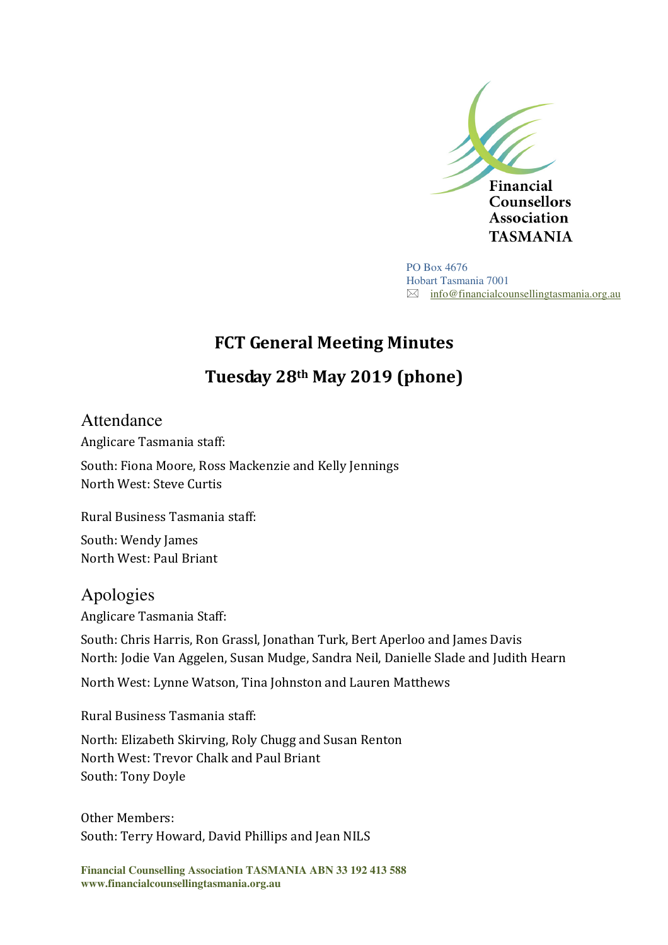

PO Box 4676 Hobart Tasmania 7001  $\boxtimes$  info@financialcounsellingtasmania.org.au

# **FCT General Meeting Minutes**

# **Tuesday 28th May 2019 (phone)**

Attendance Anglicare Tasmania staff: South: Fiona Moore, Ross Mackenzie and Kelly Jennings North West: Steve Curtis

Rural Business Tasmania staff:

South: Wendy James North West: Paul Briant

Apologies Anglicare Tasmania Staff:

South: Chris Harris, Ron Grassl, Jonathan Turk, Bert Aperloo and James Davis North: Jodie Van Aggelen, Susan Mudge, Sandra Neil, Danielle Slade and Judith Hearn

North West: Lynne Watson, Tina Johnston and Lauren Matthews

Rural Business Tasmania staff:

North: Elizabeth Skirving, Roly Chugg and Susan Renton North West: Trevor Chalk and Paul Briant South: Tony Doyle

Other Members: South: Terry Howard, David Phillips and Jean NILS

**Financial Counselling Association TASMANIA ABN 33 192 413 588 www.financialcounsellingtasmania.org.au**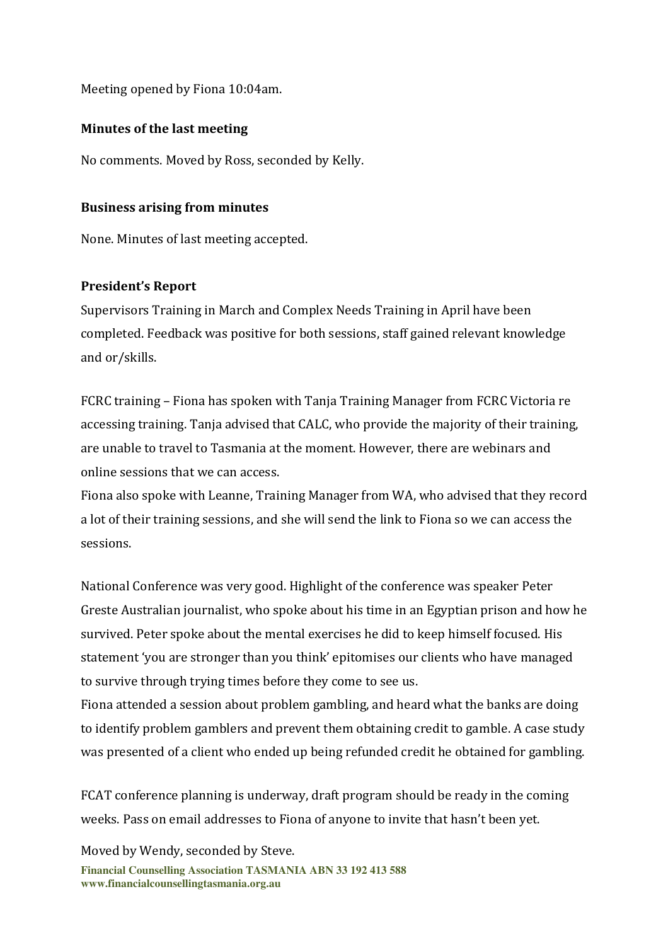Meeting opened by Fiona 10:04am.

## **Minutes of the last meeting**

No comments. Moved by Ross, seconded by Kelly.

## **Business arising from minutes**

None. Minutes of last meeting accepted.

# **President's Report**

Supervisors Training in March and Complex Needs Training in April have been completed. Feedback was positive for both sessions, staff gained relevant knowledge and or/skills.

FCRC training – Fiona has spoken with Tanja Training Manager from FCRC Victoria re accessing training. Tanja advised that CALC, who provide the majority of their training, are unable to travel to Tasmania at the moment. However, there are webinars and online sessions that we can access.

Fiona also spoke with Leanne, Training Manager from WA, who advised that they record a lot of their training sessions, and she will send the link to Fiona so we can access the sessions.

National Conference was very good. Highlight of the conference was speaker Peter Greste Australian journalist, who spoke about his time in an Egyptian prison and how he survived. Peter spoke about the mental exercises he did to keep himself focused. His statement 'you are stronger than you think' epitomises our clients who have managed to survive through trying times before they come to see us.

Fiona attended a session about problem gambling, and heard what the banks are doing to identify problem gamblers and prevent them obtaining credit to gamble. A case study was presented of a client who ended up being refunded credit he obtained for gambling.

FCAT conference planning is underway, draft program should be ready in the coming weeks. Pass on email addresses to Fiona of anyone to invite that hasn't been yet.

Moved by Wendy, seconded by Steve.

**Financial Counselling Association TASMANIA ABN 33 192 413 588 www.financialcounsellingtasmania.org.au**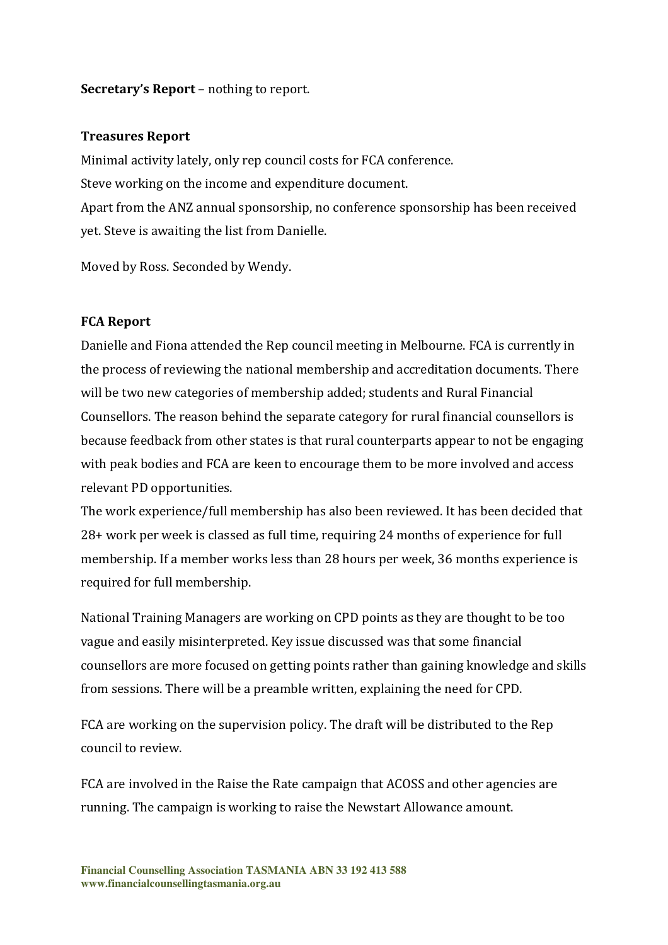#### **Secretary's Report** – nothing to report.

#### **Treasures Report**

Minimal activity lately, only rep council costs for FCA conference. Steve working on the income and expenditure document. Apart from the ANZ annual sponsorship, no conference sponsorship has been received yet. Steve is awaiting the list from Danielle.

Moved by Ross. Seconded by Wendy.

#### **FCA Report**

Danielle and Fiona attended the Rep council meeting in Melbourne. FCA is currently in the process of reviewing the national membership and accreditation documents. There will be two new categories of membership added; students and Rural Financial Counsellors. The reason behind the separate category for rural financial counsellors is because feedback from other states is that rural counterparts appear to not be engaging with peak bodies and FCA are keen to encourage them to be more involved and access relevant PD opportunities.

The work experience/full membership has also been reviewed. It has been decided that 28+ work per week is classed as full time, requiring 24 months of experience for full membership. If a member works less than 28 hours per week, 36 months experience is required for full membership.

National Training Managers are working on CPD points as they are thought to be too vague and easily misinterpreted. Key issue discussed was that some financial counsellors are more focused on getting points rather than gaining knowledge and skills from sessions. There will be a preamble written, explaining the need for CPD.

FCA are working on the supervision policy. The draft will be distributed to the Rep council to review.

FCA are involved in the Raise the Rate campaign that ACOSS and other agencies are running. The campaign is working to raise the Newstart Allowance amount.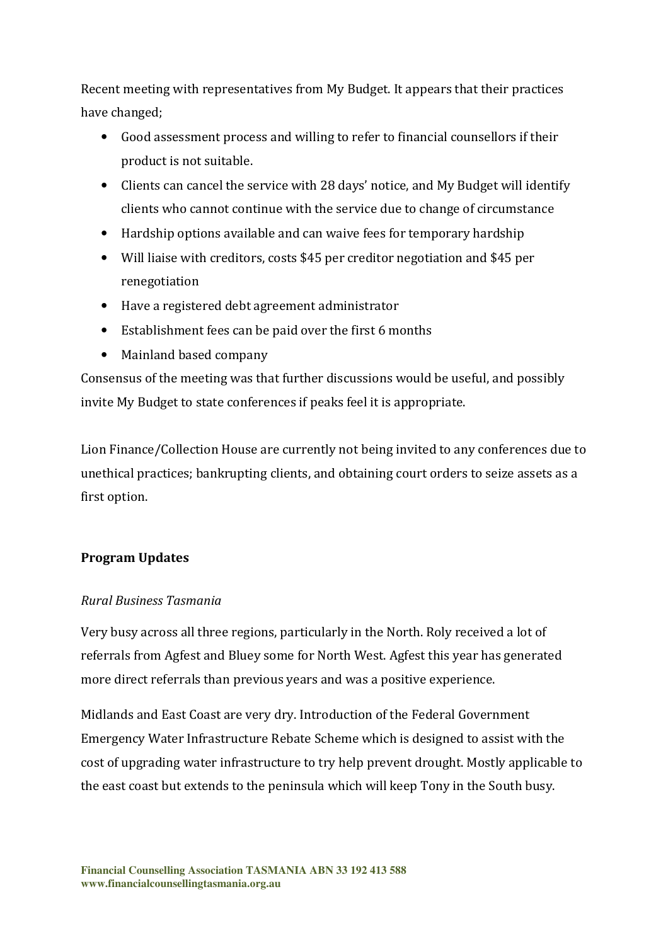Recent meeting with representatives from My Budget. It appears that their practices have changed;

- Good assessment process and willing to refer to financial counsellors if their product is not suitable.
- Clients can cancel the service with 28 days' notice, and My Budget will identify clients who cannot continue with the service due to change of circumstance
- Hardship options available and can waive fees for temporary hardship
- Will liaise with creditors, costs \$45 per creditor negotiation and \$45 per renegotiation
- Have a registered debt agreement administrator
- Establishment fees can be paid over the first 6 months
- Mainland based company

Consensus of the meeting was that further discussions would be useful, and possibly invite My Budget to state conferences if peaks feel it is appropriate.

Lion Finance/Collection House are currently not being invited to any conferences due to unethical practices; bankrupting clients, and obtaining court orders to seize assets as a first option.

# **Program Updates**

# *Rural Business Tasmania*

Very busy across all three regions, particularly in the North. Roly received a lot of referrals from Agfest and Bluey some for North West. Agfest this year has generated more direct referrals than previous years and was a positive experience.

Midlands and East Coast are very dry. Introduction of the Federal Government Emergency Water Infrastructure Rebate Scheme which is designed to assist with the cost of upgrading water infrastructure to try help prevent drought. Mostly applicable to the east coast but extends to the peninsula which will keep Tony in the South busy.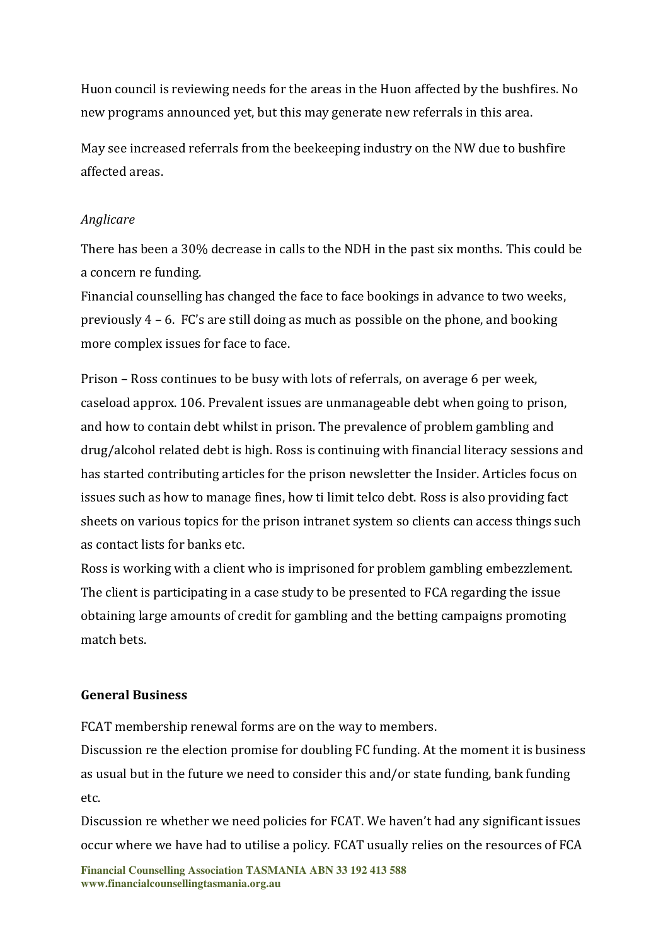Huon council is reviewing needs for the areas in the Huon affected by the bushfires. No new programs announced yet, but this may generate new referrals in this area.

May see increased referrals from the beekeeping industry on the NW due to bushfire affected areas.

### *Anglicare*

There has been a 30% decrease in calls to the NDH in the past six months. This could be a concern re funding.

Financial counselling has changed the face to face bookings in advance to two weeks, previously 4 – 6. FC's are still doing as much as possible on the phone, and booking more complex issues for face to face.

Prison – Ross continues to be busy with lots of referrals, on average 6 per week, caseload approx. 106. Prevalent issues are unmanageable debt when going to prison, and how to contain debt whilst in prison. The prevalence of problem gambling and drug/alcohol related debt is high. Ross is continuing with financial literacy sessions and has started contributing articles for the prison newsletter the Insider. Articles focus on issues such as how to manage fines, how ti limit telco debt. Ross is also providing fact sheets on various topics for the prison intranet system so clients can access things such as contact lists for banks etc.

Ross is working with a client who is imprisoned for problem gambling embezzlement. The client is participating in a case study to be presented to FCA regarding the issue obtaining large amounts of credit for gambling and the betting campaigns promoting match bets.

### **General Business**

FCAT membership renewal forms are on the way to members.

Discussion re the election promise for doubling FC funding. At the moment it is business as usual but in the future we need to consider this and/or state funding, bank funding etc.

Discussion re whether we need policies for FCAT. We haven't had any significant issues occur where we have had to utilise a policy. FCAT usually relies on the resources of FCA